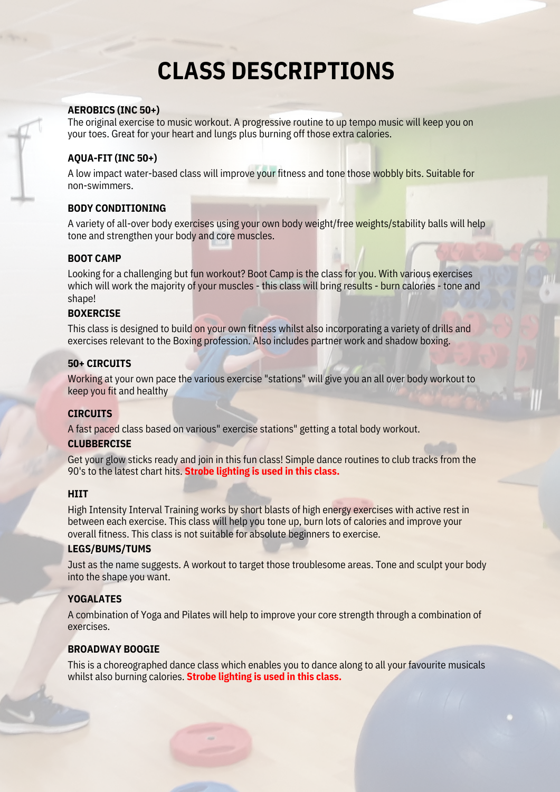# **CLASS DESCRIPTIONS**

#### **AEROBICS (INC 50+)**

The original exercise to music workout. A progressive routine to up tempo music will keep you on your toes. Great for your heart and lungs plus burning off those extra calories.

# **AQUA-FIT (INC 50+)**

A low impact water-based class will improve your fitness and tone those wobbly bits. Suitable for non-swimmers.

# **BODY CONDITIONING**

A variety of all-over body exercises using your own body weight/free weights/stability balls will help tone and strengthen your body and core muscles.

#### **BOOT CAMP**

Looking for a challenging but fun workout? Boot Camp is the class for you. With various exercises which will work the majority of your muscles - this class will bring results - burn calories - tone and shape!

# **BOXERCISE**

This class is designed to build on your own fitness whilst also incorporating a variety of drills and exercises relevant to the Boxing profession. Also includes partner work and shadow boxing.

# **50+ CIRCUITS**

Working at your own pace the various exercise "stations" will give you an all over body workout to keep you fit and healthy

#### **CIRCUITS**

A fast paced class based on various" exercise stations" getting a total body workout.

#### **CLUBBERCISE**

Get your glow sticks ready and join in this fun class! Simple dance routines to club tracks from the 90's to the latest chart hits. **Strobe lighting is used in this class.**

#### **HIIT**

High Intensity Interval Training works by short blasts of high energy exercises with active rest in between each exercise. This class will help you tone up, burn lots of calories and improve your overall fitness. This class is not suitable for absolute beginners to exercise.

#### **LEGS/BUMS/TUMS**

Just as the name suggests. A workout to target those troublesome areas. Tone and sculpt your body into the shape you want.

# **YOGALATES**

A combination of Yoga and Pilates will help to improve your core strength through a combination of exercises.

#### **BROADWAY BOOGIE**

This is a choreographed dance class which enables you to dance along to all your favourite musicals whilst also burning calories. **Strobe lighting is used in this class.**